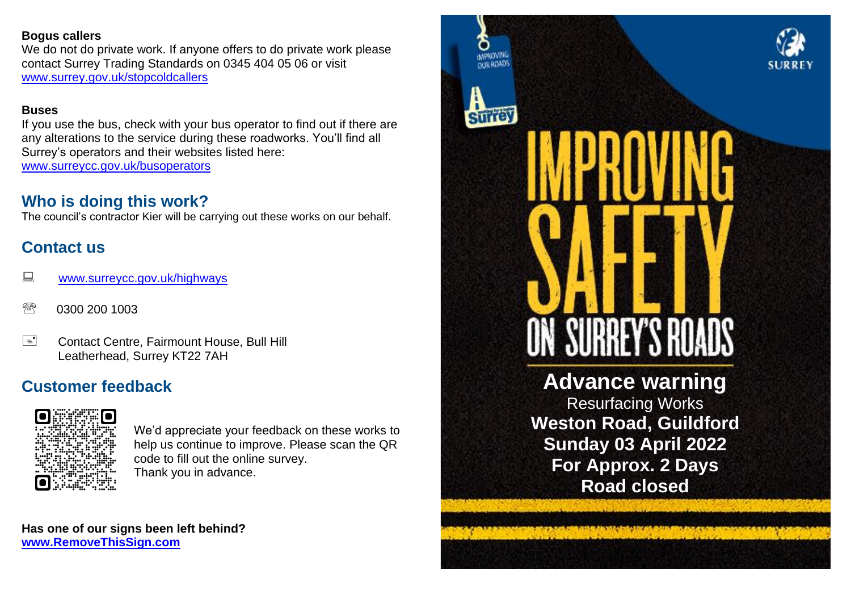### **Bogus callers**

We do not do private work. If anyone offers to do private work please contact Surrey Trading Standards on 0345 404 05 06 or visit [www.surrey.gov.uk/stopcoldcallers](http://www.surrey.gov.uk/stopcoldcallers)

### **Buses**

If you use the bus, check with your bus operator to find out if there are any alterations to the service during these roadworks. You'll find all Surrey's operators and their websites listed here: [www.surreycc.gov.uk/busoperators](file:///C:/Users/StWheele/AppData/Local/Temp/notes4DDEEE/www.surreycc.gov.uk/busoperators)

## **Who is doing this work?**

The council's contractor Kier will be carrying out these works on our behalf.

# **Contact us**

- **WWW.surreycc.gov.uk/highways**
- <sup><sup>3</sup> 0300 200 1003</sup>
- E Contact Centre, Fairmount House, Bull Hill Leatherhead, Surrey KT22 7AH

# **Customer feedback**



We'd appreciate your feedback on these works to help us continue to improve. Please scan the QR code to fill out the online survey. Thank you in advance.

**Has one of our signs been left behind? [www.RemoveThisSign.com](http://www.removethissign.com/)**